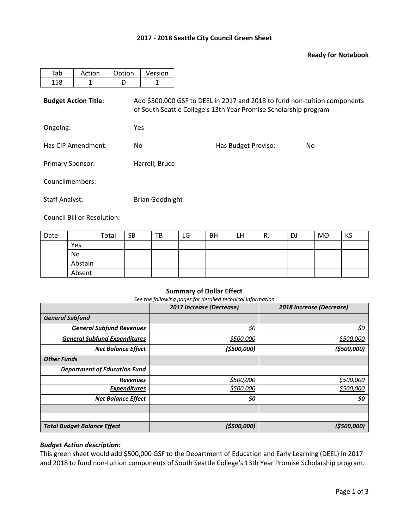## **2017 - 2018 Seattle City Council Green Sheet**

## **Ready for Notebook**

| Tab                         | Action | Option     | Version                                                                                                                                       |                     |     |  |  |  |  |  |
|-----------------------------|--------|------------|-----------------------------------------------------------------------------------------------------------------------------------------------|---------------------|-----|--|--|--|--|--|
| 158                         | 1      | D          | 1                                                                                                                                             |                     |     |  |  |  |  |  |
| <b>Budget Action Title:</b> |        |            | Add \$500,000 GSF to DEEL in 2017 and 2018 to fund non-tuition components<br>of South Seattle College's 13th Year Promise Scholarship program |                     |     |  |  |  |  |  |
| Ongoing:                    |        | <b>Yes</b> |                                                                                                                                               |                     |     |  |  |  |  |  |
| Has CIP Amendment:          |        | No.        |                                                                                                                                               | Has Budget Proviso: | No. |  |  |  |  |  |
| <b>Primary Sponsor:</b>     |        |            | Harrell, Bruce                                                                                                                                |                     |     |  |  |  |  |  |
| Councilmembers:             |        |            |                                                                                                                                               |                     |     |  |  |  |  |  |
| <b>Staff Analyst:</b>       |        |            | <b>Brian Goodnight</b>                                                                                                                        |                     |     |  |  |  |  |  |

Council Bill or Resolution:

| Date |         | Total | <b>SB</b> | TB | LG | <b>BH</b> | LН | <b>RJ</b> | <b>DJ</b> | MO | KS |
|------|---------|-------|-----------|----|----|-----------|----|-----------|-----------|----|----|
|      | Yes     |       |           |    |    |           |    |           |           |    |    |
|      | No      |       |           |    |    |           |    |           |           |    |    |
|      | Abstain |       |           |    |    |           |    |           |           |    |    |
|      | Absent  |       |           |    |    |           |    |           |           |    |    |

## **Summary of Dollar Effect**

*See the following pages for detailed technical information*

|                                     | 2017 Increase (Decrease) | 2018 Increase (Decrease) |
|-------------------------------------|--------------------------|--------------------------|
| <b>General Subfund</b>              |                          |                          |
| <b>General Subfund Revenues</b>     | \$0                      | \$0                      |
| <b>General Subfund Expenditures</b> | \$500,000                | \$500,000                |
| <b>Net Balance Effect</b>           | (\$500,000)              | ( \$500,000]             |
| <b>Other Funds</b>                  |                          |                          |
| <b>Department of Education Fund</b> |                          |                          |
| <b>Revenues</b>                     | \$500,000                | \$500,000                |
| <b>Expenditures</b>                 | \$500,000                | \$500,000                |
| <b>Net Balance Effect</b>           | \$0                      | \$0                      |
|                                     |                          |                          |
|                                     |                          |                          |
| <b>Total Budget Balance Effect</b>  | (5500,000)               | (5500,000)               |

## *Budget Action description:*

This green sheet would add \$500,000 GSF to the Department of Education and Early Learning (DEEL) in 2017 and 2018 to fund non-tuition components of South Seattle College's 13th Year Promise Scholarship program.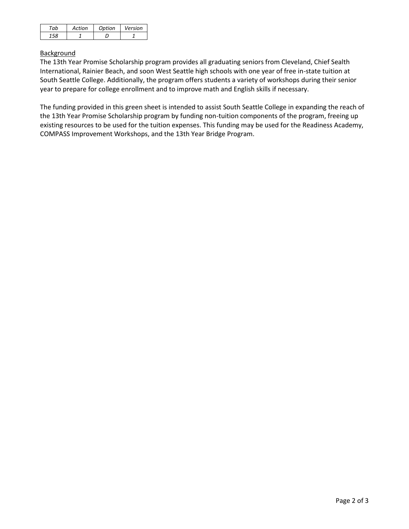| Artion | Ontion | Version |
|--------|--------|---------|
|        |        |         |

# **Background**

The 13th Year Promise Scholarship program provides all graduating seniors from Cleveland, Chief Sealth International, Rainier Beach, and soon West Seattle high schools with one year of free in-state tuition at South Seattle College. Additionally, the program offers students a variety of workshops during their senior year to prepare for college enrollment and to improve math and English skills if necessary.

The funding provided in this green sheet is intended to assist South Seattle College in expanding the reach of the 13th Year Promise Scholarship program by funding non-tuition components of the program, freeing up existing resources to be used for the tuition expenses. This funding may be used for the Readiness Academy, COMPASS Improvement Workshops, and the 13th Year Bridge Program.